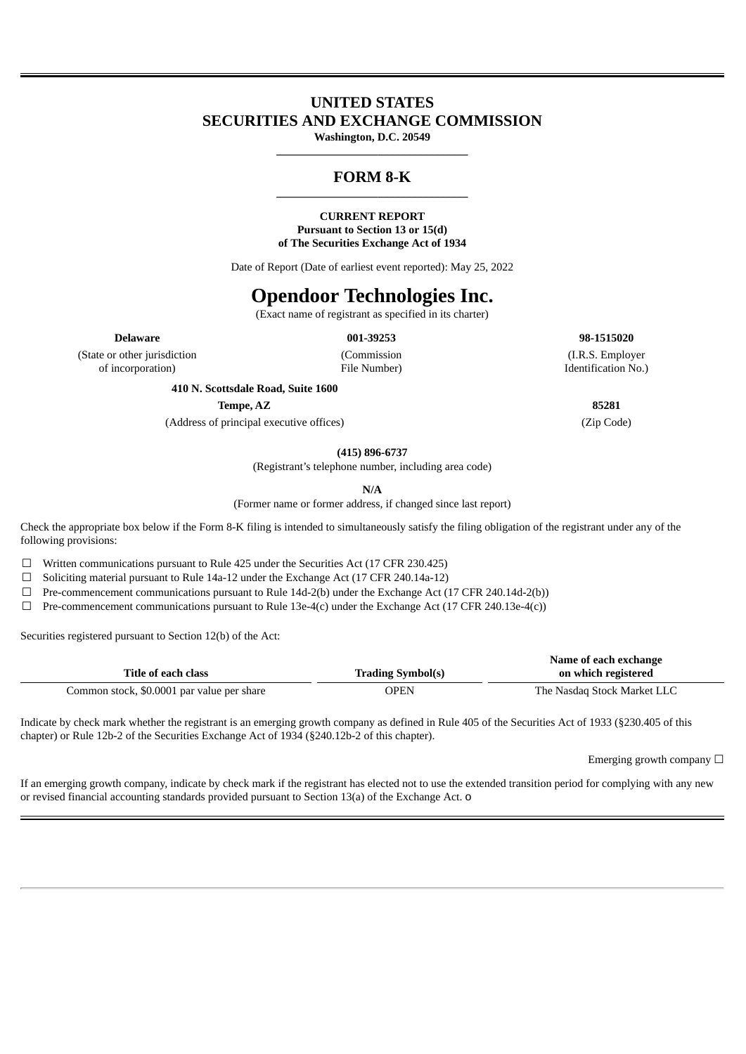# **UNITED STATES SECURITIES AND EXCHANGE COMMISSION**

**Washington, D.C. 20549 \_\_\_\_\_\_\_\_\_\_\_\_\_\_\_\_\_\_\_\_\_\_\_\_\_\_\_\_\_\_\_\_\_\_**

## **FORM 8-K \_\_\_\_\_\_\_\_\_\_\_\_\_\_\_\_\_\_\_\_\_\_\_\_\_\_\_\_\_\_\_\_\_\_**

### **CURRENT REPORT**

**Pursuant to Section 13 or 15(d) of The Securities Exchange Act of 1934**

Date of Report (Date of earliest event reported): May 25, 2022

# **Opendoor Technologies Inc.**

(Exact name of registrant as specified in its charter)

**Delaware 001-39253 98-1515020**

(State or other jurisdiction of incorporation)

(Commission File Number)

(I.R.S. Employer Identification No.)

**410 N. Scottsdale Road, Suite 1600**

**Tempe, AZ 85281**

(Address of principal executive offices) (Zip Code)

**(415) 896-6737**

(Registrant's telephone number, including area code)

**N/A**

(Former name or former address, if changed since last report)

Check the appropriate box below if the Form 8-K filing is intended to simultaneously satisfy the filing obligation of the registrant under any of the following provisions:

 $\Box$  Written communications pursuant to Rule 425 under the Securities Act (17 CFR 230.425)

☐ Soliciting material pursuant to Rule 14a-12 under the Exchange Act (17 CFR 240.14a-12)

 $\Box$  Pre-commencement communications pursuant to Rule 14d-2(b) under the Exchange Act (17 CFR 240.14d-2(b))

 $\Box$  Pre-commencement communications pursuant to Rule 13e-4(c) under the Exchange Act (17 CFR 240.13e-4(c))

Securities registered pursuant to Section 12(b) of the Act:

|                                            | Name of each exchange    |                             |  |
|--------------------------------------------|--------------------------|-----------------------------|--|
| Title of each class                        | <b>Trading Symbol(s)</b> | on which registered         |  |
| Common stock, \$0.0001 par value per share | OPEN                     | The Nasdag Stock Market LLC |  |

Indicate by check mark whether the registrant is an emerging growth company as defined in Rule 405 of the Securities Act of 1933 (§230.405 of this chapter) or Rule 12b-2 of the Securities Exchange Act of 1934 (§240.12b-2 of this chapter).

Emerging growth company  $\Box$ 

If an emerging growth company, indicate by check mark if the registrant has elected not to use the extended transition period for complying with any new or revised financial accounting standards provided pursuant to Section 13(a) of the Exchange Act. o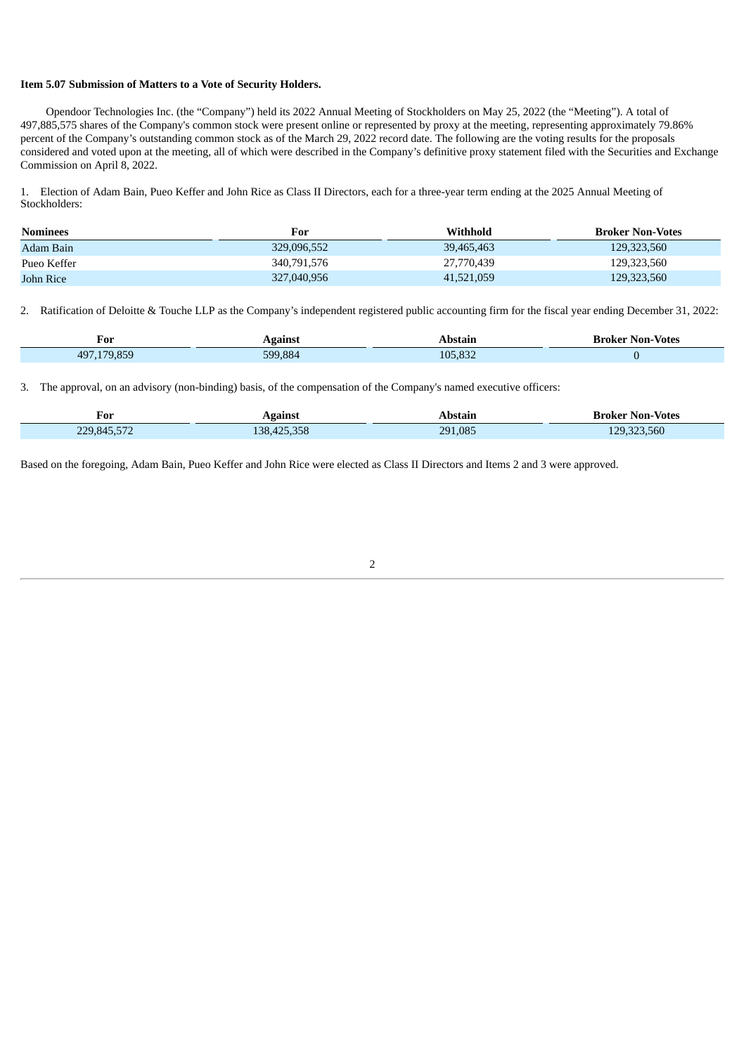#### **Item 5.07 Submission of Matters to a Vote of Security Holders.**

Ī

Opendoor Technologies Inc. (the "Company") held its 2022 Annual Meeting of Stockholders on May 25, 2022 (the "Meeting"). A total of 497,885,575 shares of the Company's common stock were present online or represented by proxy at the meeting, representing approximately 79.86% percent of the Company's outstanding common stock as of the March 29, 2022 record date. The following are the voting results for the proposals considered and voted upon at the meeting, all of which were described in the Company's definitive proxy statement filed with the Securities and Exchange Commission on April 8, 2022.

1. Election of Adam Bain, Pueo Keffer and John Rice as Class II Directors, each for a three-year term ending at the 2025 Annual Meeting of Stockholders:

| <b>Nominees</b> | For         | Withhold   | <b>Broker Non-Votes</b> |
|-----------------|-------------|------------|-------------------------|
| Adam Bain       | 329,096,552 | 39,465,463 | 129,323,560             |
| Pueo Keffer     | 340.791.576 | 27,770,439 | 129,323,560             |
| John Rice       | 327,040,956 | 41,521,059 | 129,323,560             |

2. Ratification of Deloitte & Touche LLP as the Company's independent registered public accounting firm for the fiscal year ending December 31, 2022:

| For               | \gainst | Abstain | <b>Broker Non-Votes</b> |
|-------------------|---------|---------|-------------------------|
| .179.859<br>497,1 | 599.884 | 105.832 |                         |

3. The approval, on an advisory (non-binding) basis, of the compensation of the Company's named executive officers:

| ∽<br>For                                                | Against                                    | Abstain | <b>Broker Non-Votes</b> |
|---------------------------------------------------------|--------------------------------------------|---------|-------------------------|
| $-110$<br>229845<br>– . <i>.</i> . <i>.</i> 2<br>22.0,0 | ה-ה-<br>$\Lambda$<br>$\sqrt{2}$<br>425.358 | 291,085 | 129,323,560             |

Based on the foregoing, Adam Bain, Pueo Keffer and John Rice were elected as Class II Directors and Items 2 and 3 were approved.